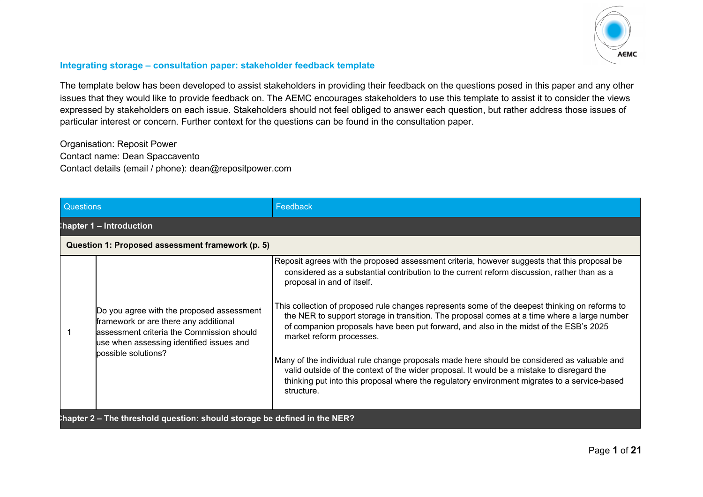

## **Integrating storage – consultation paper: stakeholder feedback template**

The template below has been developed to assist stakeholders in providing their feedback on the questions posed in this paper and any other issues that they would like to provide feedback on. The AEMC encourages stakeholders to use this template to assist it to consider the views expressed by stakeholders on each issue. Stakeholders should not feel obliged to answer each question, but rather address those issues of particular interest or concern. Further context for the questions can be found in the consultation paper.

Organisation: Reposit Power Contact name: Dean Spaccavento Contact details (email / phone): dean@repositpower.com

| <b>Questions</b>                                                         |                                                                                                                                                                                                     | Feedback                                                                                                                                                                                                                                                                                                                                                                                                                                                                                                                                                                                                                                                                                                                                                                                                                                                   |
|--------------------------------------------------------------------------|-----------------------------------------------------------------------------------------------------------------------------------------------------------------------------------------------------|------------------------------------------------------------------------------------------------------------------------------------------------------------------------------------------------------------------------------------------------------------------------------------------------------------------------------------------------------------------------------------------------------------------------------------------------------------------------------------------------------------------------------------------------------------------------------------------------------------------------------------------------------------------------------------------------------------------------------------------------------------------------------------------------------------------------------------------------------------|
|                                                                          | hapter 1 - Introduction                                                                                                                                                                             |                                                                                                                                                                                                                                                                                                                                                                                                                                                                                                                                                                                                                                                                                                                                                                                                                                                            |
|                                                                          | Question 1: Proposed assessment framework (p. 5)                                                                                                                                                    |                                                                                                                                                                                                                                                                                                                                                                                                                                                                                                                                                                                                                                                                                                                                                                                                                                                            |
|                                                                          | Do you agree with the proposed assessment<br>framework or are there any additional<br>lassessment criteria the Commission should<br>use when assessing identified issues and<br>possible solutions? | Reposit agrees with the proposed assessment criteria, however suggests that this proposal be<br>considered as a substantial contribution to the current reform discussion, rather than as a<br>proposal in and of itself.<br>This collection of proposed rule changes represents some of the deepest thinking on reforms to<br>the NER to support storage in transition. The proposal comes at a time where a large number<br>of companion proposals have been put forward, and also in the midst of the ESB's 2025<br>market reform processes.<br>Many of the individual rule change proposals made here should be considered as valuable and<br>valid outside of the context of the wider proposal. It would be a mistake to disregard the<br>thinking put into this proposal where the regulatory environment migrates to a service-based<br>structure. |
| hapter 2 - The threshold question: should storage be defined in the NER? |                                                                                                                                                                                                     |                                                                                                                                                                                                                                                                                                                                                                                                                                                                                                                                                                                                                                                                                                                                                                                                                                                            |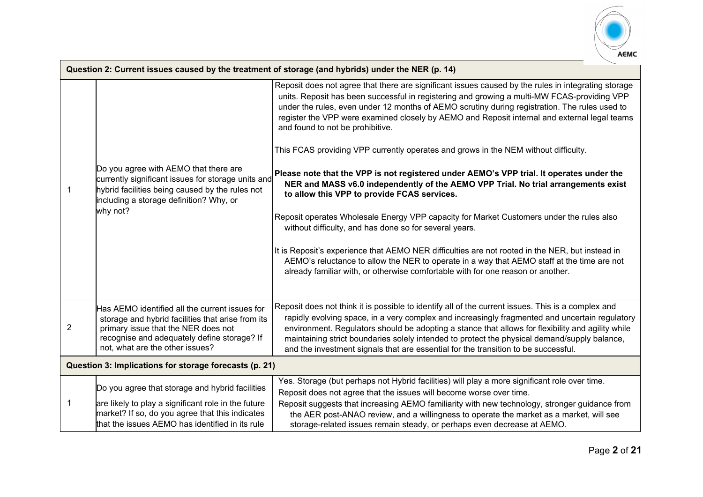

|                | Question 2: Current issues caused by the treatment of storage (and hybrids) under the NER (p. 14)                                                                                                                            |                                                                                                                                                                                                                                                                                                                                                                                                                                                                                                                                                                                                                                                                                                                                                                                                                                                                                                                                                                                                                                                                                                                                                                                                           |  |
|----------------|------------------------------------------------------------------------------------------------------------------------------------------------------------------------------------------------------------------------------|-----------------------------------------------------------------------------------------------------------------------------------------------------------------------------------------------------------------------------------------------------------------------------------------------------------------------------------------------------------------------------------------------------------------------------------------------------------------------------------------------------------------------------------------------------------------------------------------------------------------------------------------------------------------------------------------------------------------------------------------------------------------------------------------------------------------------------------------------------------------------------------------------------------------------------------------------------------------------------------------------------------------------------------------------------------------------------------------------------------------------------------------------------------------------------------------------------------|--|
|                | Do you agree with AEMO that there are<br>currently significant issues for storage units and<br>hybrid facilities being caused by the rules not<br>including a storage definition? Why, or<br>why not?                        | Reposit does not agree that there are significant issues caused by the rules in integrating storage<br>units. Reposit has been successful in registering and growing a multi-MW FCAS-providing VPP<br>under the rules, even under 12 months of AEMO scrutiny during registration. The rules used to<br>register the VPP were examined closely by AEMO and Reposit internal and external legal teams<br>and found to not be prohibitive.<br>This FCAS providing VPP currently operates and grows in the NEM without difficulty.<br>Please note that the VPP is not registered under AEMO's VPP trial. It operates under the<br>NER and MASS v6.0 independently of the AEMO VPP Trial. No trial arrangements exist<br>to allow this VPP to provide FCAS services.<br>Reposit operates Wholesale Energy VPP capacity for Market Customers under the rules also<br>without difficulty, and has done so for several years.<br>It is Reposit's experience that AEMO NER difficulties are not rooted in the NER, but instead in<br>AEMO's reluctance to allow the NER to operate in a way that AEMO staff at the time are not<br>already familiar with, or otherwise comfortable with for one reason or another. |  |
|                |                                                                                                                                                                                                                              |                                                                                                                                                                                                                                                                                                                                                                                                                                                                                                                                                                                                                                                                                                                                                                                                                                                                                                                                                                                                                                                                                                                                                                                                           |  |
| $\overline{2}$ | Has AEMO identified all the current issues for<br>storage and hybrid facilities that arise from its<br>primary issue that the NER does not<br>recognise and adequately define storage? If<br>not, what are the other issues? | Reposit does not think it is possible to identify all of the current issues. This is a complex and<br>rapidly evolving space, in a very complex and increasingly fragmented and uncertain regulatory<br>environment. Regulators should be adopting a stance that allows for flexibility and agility while<br>maintaining strict boundaries solely intended to protect the physical demand/supply balance,<br>and the investment signals that are essential for the transition to be successful.                                                                                                                                                                                                                                                                                                                                                                                                                                                                                                                                                                                                                                                                                                           |  |
|                | Question 3: Implications for storage forecasts (p. 21)                                                                                                                                                                       |                                                                                                                                                                                                                                                                                                                                                                                                                                                                                                                                                                                                                                                                                                                                                                                                                                                                                                                                                                                                                                                                                                                                                                                                           |  |
|                | Do you agree that storage and hybrid facilities<br>are likely to play a significant role in the future<br>market? If so, do you agree that this indicates<br>that the issues AEMO has identified in its rule                 | Yes. Storage (but perhaps not Hybrid facilities) will play a more significant role over time.<br>Reposit does not agree that the issues will become worse over time.<br>Reposit suggests that increasing AEMO familiarity with new technology, stronger guidance from<br>the AER post-ANAO review, and a willingness to operate the market as a market, will see<br>storage-related issues remain steady, or perhaps even decrease at AEMO.                                                                                                                                                                                                                                                                                                                                                                                                                                                                                                                                                                                                                                                                                                                                                               |  |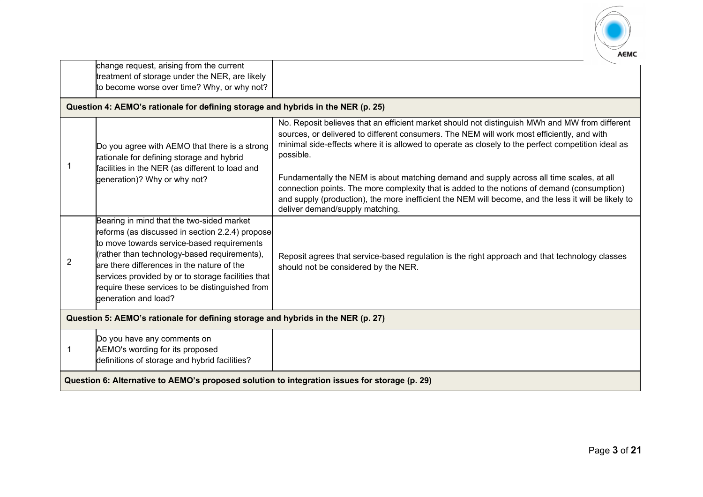

|                                                                                               | change request, arising from the current<br>treatment of storage under the NER, are likely<br>to become worse over time? Why, or why not?                                                                                                                                                                                                                                 |                                                                                                                                                                                                                                                                                                                                    |
|-----------------------------------------------------------------------------------------------|---------------------------------------------------------------------------------------------------------------------------------------------------------------------------------------------------------------------------------------------------------------------------------------------------------------------------------------------------------------------------|------------------------------------------------------------------------------------------------------------------------------------------------------------------------------------------------------------------------------------------------------------------------------------------------------------------------------------|
|                                                                                               | Question 4: AEMO's rationale for defining storage and hybrids in the NER (p. 25)                                                                                                                                                                                                                                                                                          |                                                                                                                                                                                                                                                                                                                                    |
|                                                                                               | Do you agree with AEMO that there is a strong<br>rationale for defining storage and hybrid<br>facilities in the NER (as different to load and                                                                                                                                                                                                                             | No. Reposit believes that an efficient market should not distinguish MWh and MW from different<br>sources, or delivered to different consumers. The NEM will work most efficiently, and with<br>minimal side-effects where it is allowed to operate as closely to the perfect competition ideal as<br>possible.                    |
|                                                                                               | generation)? Why or why not?                                                                                                                                                                                                                                                                                                                                              | Fundamentally the NEM is about matching demand and supply across all time scales, at all<br>connection points. The more complexity that is added to the notions of demand (consumption)<br>and supply (production), the more inefficient the NEM will become, and the less it will be likely to<br>deliver demand/supply matching. |
| 2                                                                                             | Bearing in mind that the two-sided market<br>reforms (as discussed in section 2.2.4) propose<br>to move towards service-based requirements<br>(rather than technology-based requirements),<br>are there differences in the nature of the<br>services provided by or to storage facilities that<br>require these services to be distinguished from<br>generation and load? | Reposit agrees that service-based regulation is the right approach and that technology classes<br>should not be considered by the NER.                                                                                                                                                                                             |
| Question 5: AEMO's rationale for defining storage and hybrids in the NER (p. 27)              |                                                                                                                                                                                                                                                                                                                                                                           |                                                                                                                                                                                                                                                                                                                                    |
|                                                                                               | Do you have any comments on<br>AEMO's wording for its proposed<br>definitions of storage and hybrid facilities?                                                                                                                                                                                                                                                           |                                                                                                                                                                                                                                                                                                                                    |
| Question 6: Alternative to AEMO's proposed solution to integration issues for storage (p. 29) |                                                                                                                                                                                                                                                                                                                                                                           |                                                                                                                                                                                                                                                                                                                                    |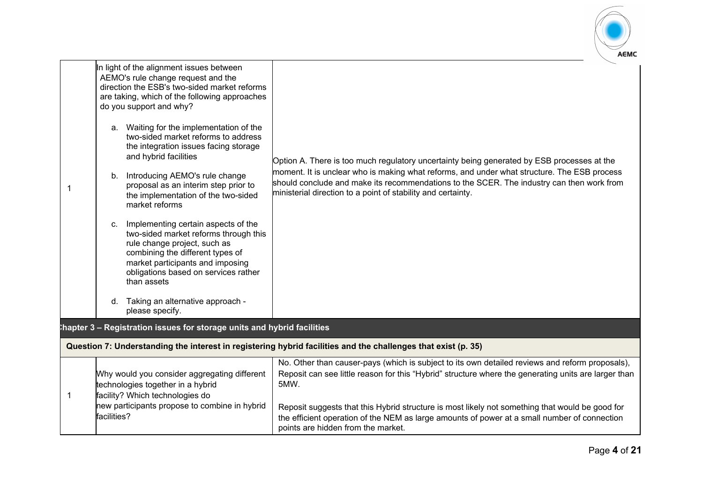

| -1 | In light of the alignment issues between<br>AEMO's rule change request and the<br>direction the ESB's two-sided market reforms<br>are taking, which of the following approaches<br>do you support and why?<br>a. Waiting for the implementation of the<br>two-sided market reforms to address<br>the integration issues facing storage<br>and hybrid facilities<br>b. Introducing AEMO's rule change<br>proposal as an interim step prior to<br>the implementation of the two-sided<br>market reforms<br>Implementing certain aspects of the<br>C.<br>two-sided market reforms through this<br>rule change project, such as<br>combining the different types of<br>market participants and imposing<br>obligations based on services rather<br>than assets<br>Taking an alternative approach -<br>d.<br>please specify. | Option A. There is too much regulatory uncertainty being generated by ESB processes at the<br>moment. It is unclear who is making what reforms, and under what structure. The ESB process<br>should conclude and make its recommendations to the SCER. The industry can then work from<br>ministerial direction to a point of stability and certainty.                                                                                                   |
|----|-------------------------------------------------------------------------------------------------------------------------------------------------------------------------------------------------------------------------------------------------------------------------------------------------------------------------------------------------------------------------------------------------------------------------------------------------------------------------------------------------------------------------------------------------------------------------------------------------------------------------------------------------------------------------------------------------------------------------------------------------------------------------------------------------------------------------|----------------------------------------------------------------------------------------------------------------------------------------------------------------------------------------------------------------------------------------------------------------------------------------------------------------------------------------------------------------------------------------------------------------------------------------------------------|
|    | hapter 3 - Registration issues for storage units and hybrid facilities                                                                                                                                                                                                                                                                                                                                                                                                                                                                                                                                                                                                                                                                                                                                                  |                                                                                                                                                                                                                                                                                                                                                                                                                                                          |
|    |                                                                                                                                                                                                                                                                                                                                                                                                                                                                                                                                                                                                                                                                                                                                                                                                                         | Question 7: Understanding the interest in registering hybrid facilities and the challenges that exist (p. 35)                                                                                                                                                                                                                                                                                                                                            |
| -1 | Why would you consider aggregating different<br>technologies together in a hybrid<br>facility? Which technologies do<br>new participants propose to combine in hybrid<br>facilities?                                                                                                                                                                                                                                                                                                                                                                                                                                                                                                                                                                                                                                    | No. Other than causer-pays (which is subject to its own detailed reviews and reform proposals),<br>Reposit can see little reason for this "Hybrid" structure where the generating units are larger than<br>5MW.<br>Reposit suggests that this Hybrid structure is most likely not something that would be good for<br>the efficient operation of the NEM as large amounts of power at a small number of connection<br>points are hidden from the market. |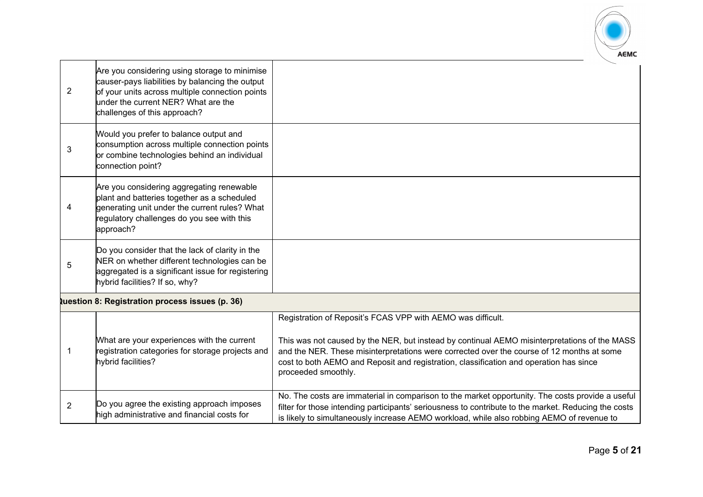

| $\overline{2}$ | Are you considering using storage to minimise<br>causer-pays liabilities by balancing the output<br>of your units across multiple connection points<br>under the current NER? What are the<br>challenges of this approach? |                                                                                                                                                                                                                                                                                                                                                                           |
|----------------|----------------------------------------------------------------------------------------------------------------------------------------------------------------------------------------------------------------------------|---------------------------------------------------------------------------------------------------------------------------------------------------------------------------------------------------------------------------------------------------------------------------------------------------------------------------------------------------------------------------|
| 3              | Would you prefer to balance output and<br>consumption across multiple connection points<br>or combine technologies behind an individual<br>connection point?                                                               |                                                                                                                                                                                                                                                                                                                                                                           |
| 4              | Are you considering aggregating renewable<br>plant and batteries together as a scheduled<br>generating unit under the current rules? What<br>regulatory challenges do you see with this<br>approach?                       |                                                                                                                                                                                                                                                                                                                                                                           |
| 5              | Do you consider that the lack of clarity in the<br>NER on whether different technologies can be<br>aggregated is a significant issue for registering<br>hybrid facilities? If so, why?                                     |                                                                                                                                                                                                                                                                                                                                                                           |
|                | <b>Question 8: Registration process issues (p. 36)</b>                                                                                                                                                                     |                                                                                                                                                                                                                                                                                                                                                                           |
|                | What are your experiences with the current<br>registration categories for storage projects and<br>hybrid facilities?                                                                                                       | Registration of Reposit's FCAS VPP with AEMO was difficult.<br>This was not caused by the NER, but instead by continual AEMO misinterpretations of the MASS<br>and the NER. These misinterpretations were corrected over the course of 12 months at some<br>cost to both AEMO and Reposit and registration, classification and operation has since<br>proceeded smoothly. |
| $\overline{2}$ | Do you agree the existing approach imposes<br>high administrative and financial costs for                                                                                                                                  | No. The costs are immaterial in comparison to the market opportunity. The costs provide a useful<br>filter for those intending participants' seriousness to contribute to the market. Reducing the costs<br>is likely to simultaneously increase AEMO workload, while also robbing AEMO of revenue to                                                                     |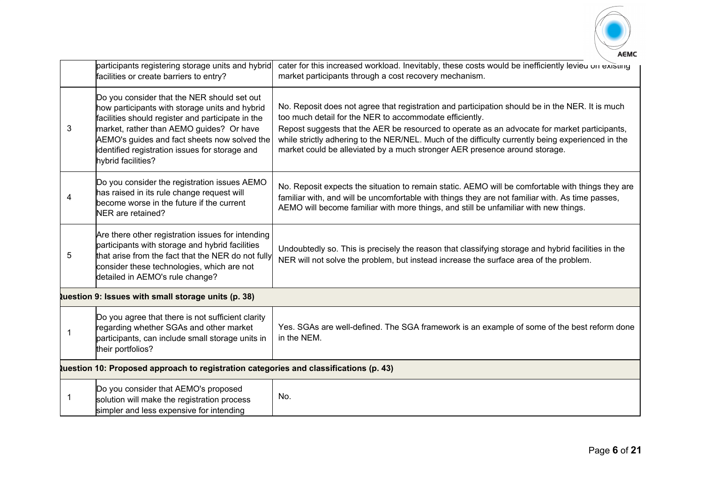

|                | participants registering storage units and hybrid<br>facilities or create barriers to entry?                                                                                                                                                                                                                           | cater for this increased workload. Inevitably, these costs would be inefficiently levieu on existing<br>market participants through a cost recovery mechanism.                                                                                                                                                                                                                                                                                |  |
|----------------|------------------------------------------------------------------------------------------------------------------------------------------------------------------------------------------------------------------------------------------------------------------------------------------------------------------------|-----------------------------------------------------------------------------------------------------------------------------------------------------------------------------------------------------------------------------------------------------------------------------------------------------------------------------------------------------------------------------------------------------------------------------------------------|--|
| 3              | Do you consider that the NER should set out<br>how participants with storage units and hybrid<br>facilities should register and participate in the<br>market, rather than AEMO guides? Or have<br>AEMO's guides and fact sheets now solved the<br>identified registration issues for storage and<br>hybrid facilities? | No. Reposit does not agree that registration and participation should be in the NER. It is much<br>too much detail for the NER to accommodate efficiently.<br>Repost suggests that the AER be resourced to operate as an advocate for market participants,<br>while strictly adhering to the NER/NEL. Much of the difficulty currently being experienced in the<br>market could be alleviated by a much stronger AER presence around storage. |  |
| 4              | Do you consider the registration issues AEMO<br>has raised in its rule change request will<br>become worse in the future if the current<br>NER are retained?                                                                                                                                                           | No. Reposit expects the situation to remain static. AEMO will be comfortable with things they are<br>familiar with, and will be uncomfortable with things they are not familiar with. As time passes,<br>AEMO will become familiar with more things, and still be unfamiliar with new things.                                                                                                                                                 |  |
| 5              | Are there other registration issues for intending<br>participants with storage and hybrid facilities<br>that arise from the fact that the NER do not fully<br>consider these technologies, which are not<br>detailed in AEMO's rule change?                                                                            | Undoubtedly so. This is precisely the reason that classifying storage and hybrid facilities in the<br>NER will not solve the problem, but instead increase the surface area of the problem.                                                                                                                                                                                                                                                   |  |
|                | tuestion 9: Issues with small storage units (p. 38)                                                                                                                                                                                                                                                                    |                                                                                                                                                                                                                                                                                                                                                                                                                                               |  |
| $\overline{1}$ | Do you agree that there is not sufficient clarity<br>regarding whether SGAs and other market<br>participants, can include small storage units in<br>their portfolios?                                                                                                                                                  | Yes. SGAs are well-defined. The SGA framework is an example of some of the best reform done<br>in the NEM.                                                                                                                                                                                                                                                                                                                                    |  |
|                | uestion 10: Proposed approach to registration categories and classifications (p. 43)                                                                                                                                                                                                                                   |                                                                                                                                                                                                                                                                                                                                                                                                                                               |  |
|                | Do you consider that AEMO's proposed<br>solution will make the registration process<br>simpler and less expensive for intending                                                                                                                                                                                        | No.                                                                                                                                                                                                                                                                                                                                                                                                                                           |  |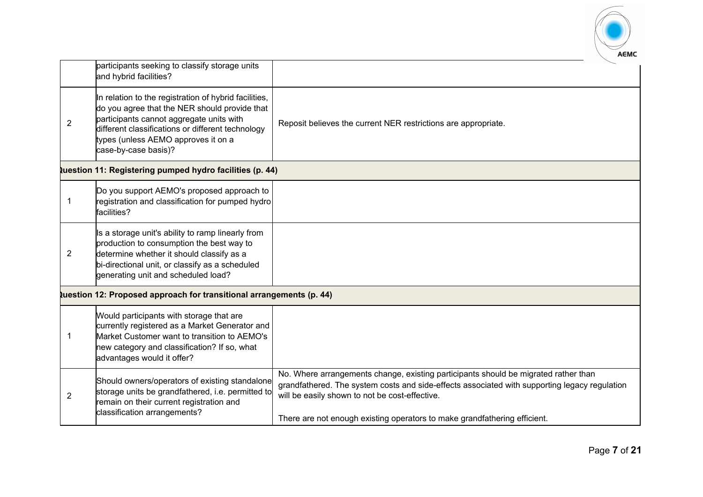

|                | participants seeking to classify storage units<br>and hybrid facilities?                                                                                                                                                                                               |                                                                                                                                                                                                                                                                                                                     |
|----------------|------------------------------------------------------------------------------------------------------------------------------------------------------------------------------------------------------------------------------------------------------------------------|---------------------------------------------------------------------------------------------------------------------------------------------------------------------------------------------------------------------------------------------------------------------------------------------------------------------|
| $\overline{2}$ | In relation to the registration of hybrid facilities,<br>do you agree that the NER should provide that<br>participants cannot aggregate units with<br>different classifications or different technology<br>types (unless AEMO approves it on a<br>case-by-case basis)? | Reposit believes the current NER restrictions are appropriate.                                                                                                                                                                                                                                                      |
|                | tuestion 11: Registering pumped hydro facilities (p. 44)                                                                                                                                                                                                               |                                                                                                                                                                                                                                                                                                                     |
| -1             | Do you support AEMO's proposed approach to<br>registration and classification for pumped hydro<br>facilities?                                                                                                                                                          |                                                                                                                                                                                                                                                                                                                     |
| $\overline{2}$ | Is a storage unit's ability to ramp linearly from<br>production to consumption the best way to<br>determine whether it should classify as a<br>bi-directional unit, or classify as a scheduled<br>generating unit and scheduled load?                                  |                                                                                                                                                                                                                                                                                                                     |
|                | tuestion 12: Proposed approach for transitional arrangements (p. 44)                                                                                                                                                                                                   |                                                                                                                                                                                                                                                                                                                     |
| -1             | Would participants with storage that are<br>currently registered as a Market Generator and<br>Market Customer want to transition to AEMO's<br>new category and classification? If so, what<br>advantages would it offer?                                               |                                                                                                                                                                                                                                                                                                                     |
| $\overline{2}$ | Should owners/operators of existing standalone<br>storage units be grandfathered, i.e. permitted to<br>remain on their current registration and<br>classification arrangements?                                                                                        | No. Where arrangements change, existing participants should be migrated rather than<br>grandfathered. The system costs and side-effects associated with supporting legacy regulation<br>will be easily shown to not be cost-effective.<br>There are not enough existing operators to make grandfathering efficient. |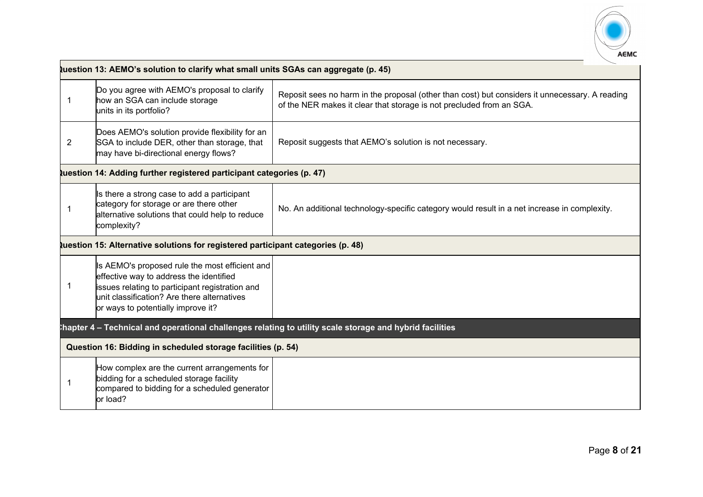

|    | uestion 13: AEMO's solution to clarify what small units SGAs can aggregate (p. 45)                                                                                                                                                |                                                                                                                                                                        |  |
|----|-----------------------------------------------------------------------------------------------------------------------------------------------------------------------------------------------------------------------------------|------------------------------------------------------------------------------------------------------------------------------------------------------------------------|--|
| -1 | Do you agree with AEMO's proposal to clarify<br>how an SGA can include storage<br>units in its portfolio?                                                                                                                         | Reposit sees no harm in the proposal (other than cost) but considers it unnecessary. A reading<br>of the NER makes it clear that storage is not precluded from an SGA. |  |
| 2  | Does AEMO's solution provide flexibility for an<br>SGA to include DER, other than storage, that<br>may have bi-directional energy flows?                                                                                          | Reposit suggests that AEMO's solution is not necessary.                                                                                                                |  |
|    | tuestion 14: Adding further registered participant categories (p. 47)                                                                                                                                                             |                                                                                                                                                                        |  |
|    | Is there a strong case to add a participant<br>category for storage or are there other<br>alternative solutions that could help to reduce<br>complexity?                                                                          | No. An additional technology-specific category would result in a net increase in complexity.                                                                           |  |
|    | tuestion 15: Alternative solutions for registered participant categories (p. 48)                                                                                                                                                  |                                                                                                                                                                        |  |
| -1 | Is AEMO's proposed rule the most efficient and<br>effective way to address the identified<br>issues relating to participant registration and<br>unit classification? Are there alternatives<br>or ways to potentially improve it? |                                                                                                                                                                        |  |
|    |                                                                                                                                                                                                                                   | hapter 4 – Technical and operational challenges relating to utility scale storage and hybrid facilities                                                                |  |
|    | Question 16: Bidding in scheduled storage facilities (p. 54)                                                                                                                                                                      |                                                                                                                                                                        |  |
|    | How complex are the current arrangements for<br>bidding for a scheduled storage facility<br>compared to bidding for a scheduled generator<br>or load?                                                                             |                                                                                                                                                                        |  |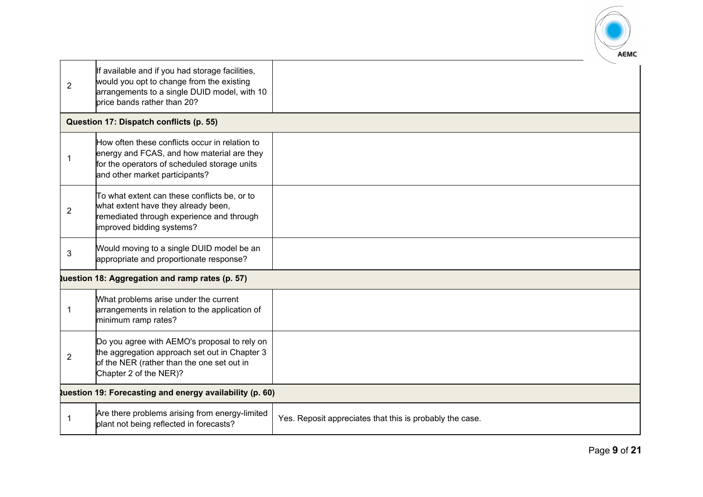

| $\overline{2}$ | If available and if you had storage facilities,<br>would you opt to change from the existing<br>arrangements to a single DUID model, with 10<br>price bands rather than 20?    |                                                          |  |
|----------------|--------------------------------------------------------------------------------------------------------------------------------------------------------------------------------|----------------------------------------------------------|--|
|                | Question 17: Dispatch conflicts (p. 55)                                                                                                                                        |                                                          |  |
|                | How often these conflicts occur in relation to<br>energy and FCAS, and how material are they<br>for the operators of scheduled storage units<br>and other market participants? |                                                          |  |
| $\overline{2}$ | To what extent can these conflicts be, or to<br>what extent have they already been,<br>remediated through experience and through<br>improved bidding systems?                  |                                                          |  |
| 3              | Would moving to a single DUID model be an<br>appropriate and proportionate response?                                                                                           |                                                          |  |
|                | tuestion 18: Aggregation and ramp rates (p. 57)                                                                                                                                |                                                          |  |
| $\mathbf{1}$   | What problems arise under the current<br>arrangements in relation to the application of<br>minimum ramp rates?                                                                 |                                                          |  |
| 2              | Do you agree with AEMO's proposal to rely on<br>the aggregation approach set out in Chapter 3<br>of the NER (rather than the one set out in<br>Chapter 2 of the NER)?          |                                                          |  |
|                | <b>Question 19: Forecasting and energy availability (p. 60)</b>                                                                                                                |                                                          |  |
|                | Are there problems arising from energy-limited<br>plant not being reflected in forecasts?                                                                                      | Yes. Reposit appreciates that this is probably the case. |  |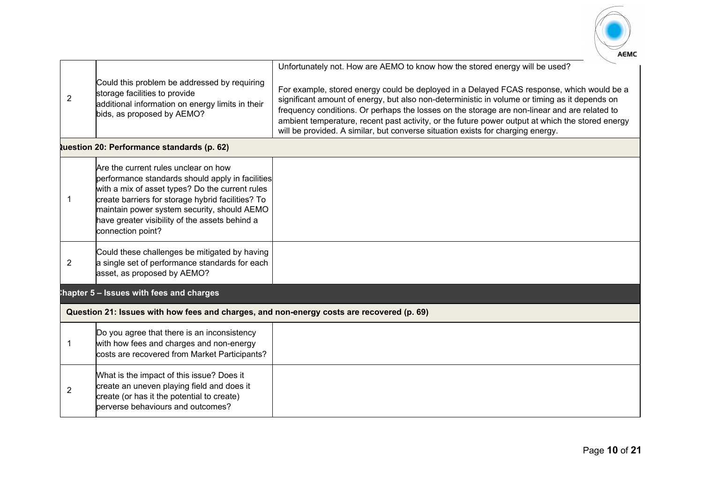

|                |                                                                                                                                                                                                                                                                                                                        | Unfortunately not. How are AEMO to know how the stored energy will be used?                                                                                                                                                                                                                                                                                                                                                                                                       |
|----------------|------------------------------------------------------------------------------------------------------------------------------------------------------------------------------------------------------------------------------------------------------------------------------------------------------------------------|-----------------------------------------------------------------------------------------------------------------------------------------------------------------------------------------------------------------------------------------------------------------------------------------------------------------------------------------------------------------------------------------------------------------------------------------------------------------------------------|
| $\overline{2}$ | Could this problem be addressed by requiring<br>storage facilities to provide<br>additional information on energy limits in their<br>bids, as proposed by AEMO?                                                                                                                                                        | For example, stored energy could be deployed in a Delayed FCAS response, which would be a<br>significant amount of energy, but also non-deterministic in volume or timing as it depends on<br>frequency conditions. Or perhaps the losses on the storage are non-linear and are related to<br>ambient temperature, recent past activity, or the future power output at which the stored energy<br>will be provided. A similar, but converse situation exists for charging energy. |
|                | tuestion 20: Performance standards (p. 62)                                                                                                                                                                                                                                                                             |                                                                                                                                                                                                                                                                                                                                                                                                                                                                                   |
| -1             | Are the current rules unclear on how<br>performance standards should apply in facilities<br>with a mix of asset types? Do the current rules<br>create barriers for storage hybrid facilities? To<br>maintain power system security, should AEMO<br>have greater visibility of the assets behind a<br>connection point? |                                                                                                                                                                                                                                                                                                                                                                                                                                                                                   |
| 2              | Could these challenges be mitigated by having<br>a single set of performance standards for each<br>asset, as proposed by AEMO?                                                                                                                                                                                         |                                                                                                                                                                                                                                                                                                                                                                                                                                                                                   |
|                | thapter 5 - Issues with fees and charges                                                                                                                                                                                                                                                                               |                                                                                                                                                                                                                                                                                                                                                                                                                                                                                   |
|                | Question 21: Issues with how fees and charges, and non-energy costs are recovered (p. 69)                                                                                                                                                                                                                              |                                                                                                                                                                                                                                                                                                                                                                                                                                                                                   |
|                | Do you agree that there is an inconsistency<br>with how fees and charges and non-energy<br>costs are recovered from Market Participants?                                                                                                                                                                               |                                                                                                                                                                                                                                                                                                                                                                                                                                                                                   |
| $\overline{2}$ | What is the impact of this issue? Does it<br>create an uneven playing field and does it<br>create (or has it the potential to create)<br>perverse behaviours and outcomes?                                                                                                                                             |                                                                                                                                                                                                                                                                                                                                                                                                                                                                                   |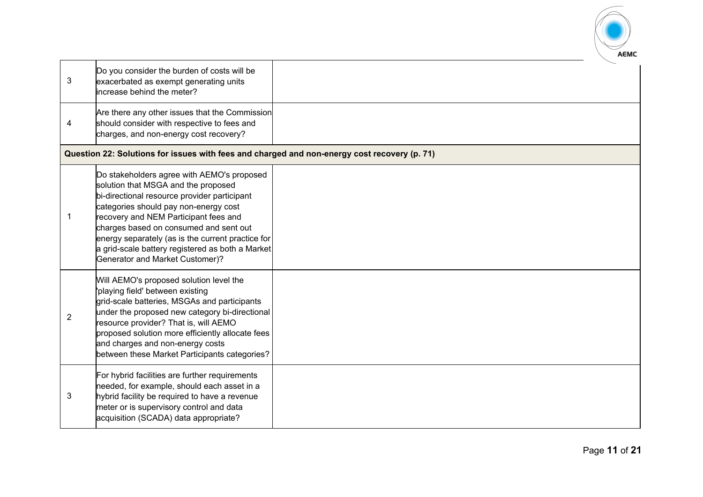

| 3              | Do you consider the burden of costs will be<br>exacerbated as exempt generating units<br>increase behind the meter?                                                                                                                                                                                                                                                                                              |  |
|----------------|------------------------------------------------------------------------------------------------------------------------------------------------------------------------------------------------------------------------------------------------------------------------------------------------------------------------------------------------------------------------------------------------------------------|--|
| 4              | Are there any other issues that the Commission<br>should consider with respective to fees and<br>charges, and non-energy cost recovery?                                                                                                                                                                                                                                                                          |  |
|                | Question 22: Solutions for issues with fees and charged and non-energy cost recovery (p. 71)                                                                                                                                                                                                                                                                                                                     |  |
| 1              | Do stakeholders agree with AEMO's proposed<br>solution that MSGA and the proposed<br>bi-directional resource provider participant<br>categories should pay non-energy cost<br>recovery and NEM Participant fees and<br>charges based on consumed and sent out<br>energy separately (as is the current practice for<br>a grid-scale battery registered as both a Market<br><b>Generator and Market Customer)?</b> |  |
| $\overline{2}$ | Will AEMO's proposed solution level the<br>'playing field' between existing<br>grid-scale batteries, MSGAs and participants<br>under the proposed new category bi-directional<br>resource provider? That is, will AEMO<br>proposed solution more efficiently allocate fees<br>and charges and non-energy costs<br>between these Market Participants categories?                                                  |  |
| 3              | For hybrid facilities are further requirements<br>needed, for example, should each asset in a<br>hybrid facility be required to have a revenue<br>meter or is supervisory control and data<br>acquisition (SCADA) data appropriate?                                                                                                                                                                              |  |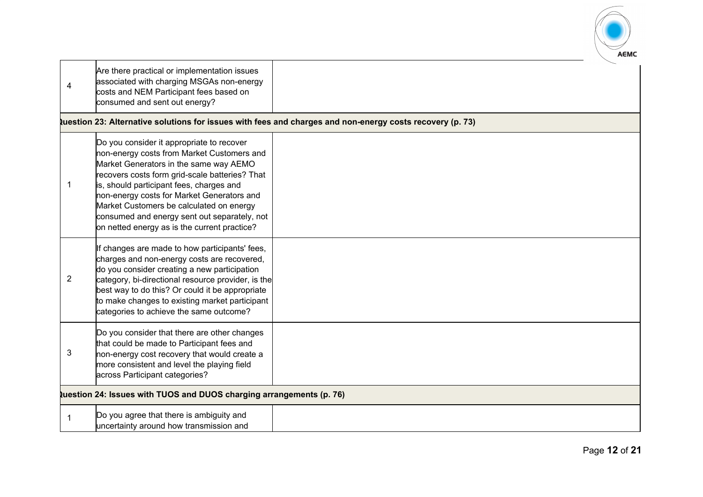

| 4           | Are there practical or implementation issues<br>associated with charging MSGAs non-energy<br>costs and NEM Participant fees based on<br>consumed and sent out energy?                                                                                                                                                                                                                                                     |                                                                                                          |
|-------------|---------------------------------------------------------------------------------------------------------------------------------------------------------------------------------------------------------------------------------------------------------------------------------------------------------------------------------------------------------------------------------------------------------------------------|----------------------------------------------------------------------------------------------------------|
|             |                                                                                                                                                                                                                                                                                                                                                                                                                           | uestion 23: Alternative solutions for issues with fees and charges and non-energy costs recovery (p. 73) |
| -1          | Do you consider it appropriate to recover<br>non-energy costs from Market Customers and<br>Market Generators in the same way AEMO<br>recovers costs form grid-scale batteries? That<br>is, should participant fees, charges and<br>non-energy costs for Market Generators and<br>Market Customers be calculated on energy<br>consumed and energy sent out separately, not<br>on netted energy as is the current practice? |                                                                                                          |
| 2           | If changes are made to how participants' fees,<br>charges and non-energy costs are recovered,<br>do you consider creating a new participation<br>category, bi-directional resource provider, is the<br>best way to do this? Or could it be appropriate<br>to make changes to existing market participant<br>categories to achieve the same outcome?                                                                       |                                                                                                          |
| 3           | Do you consider that there are other changes<br>that could be made to Participant fees and<br>non-energy cost recovery that would create a<br>more consistent and level the playing field<br>across Participant categories?                                                                                                                                                                                               |                                                                                                          |
|             | tuestion 24: Issues with TUOS and DUOS charging arrangements (p. 76)                                                                                                                                                                                                                                                                                                                                                      |                                                                                                          |
| $\mathbf 1$ | Do you agree that there is ambiguity and<br>uncertainty around how transmission and                                                                                                                                                                                                                                                                                                                                       |                                                                                                          |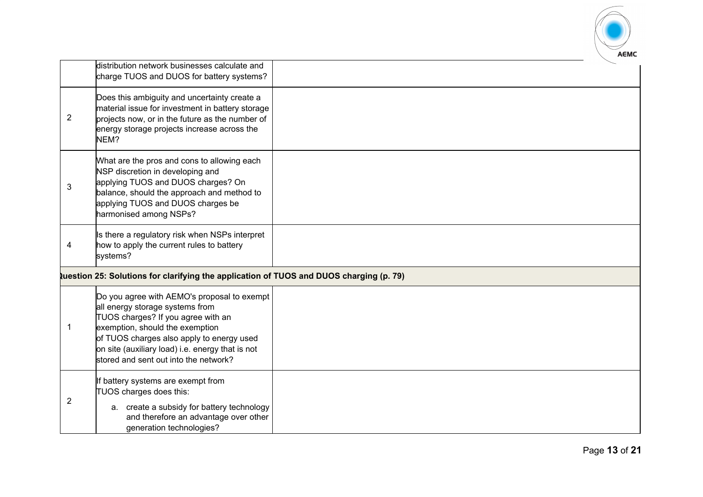

|                | distribution network businesses calculate and<br>charge TUOS and DUOS for battery systems?                                                                                                                                                                                                        |  |  |
|----------------|---------------------------------------------------------------------------------------------------------------------------------------------------------------------------------------------------------------------------------------------------------------------------------------------------|--|--|
| $\overline{2}$ | Does this ambiguity and uncertainty create a<br>material issue for investment in battery storage<br>projects now, or in the future as the number of<br>energy storage projects increase across the<br>NEM?                                                                                        |  |  |
| 3              | What are the pros and cons to allowing each<br>NSP discretion in developing and<br>applying TUOS and DUOS charges? On<br>balance, should the approach and method to<br>applying TUOS and DUOS charges be<br>harmonised among NSPs?                                                                |  |  |
| 4              | Is there a regulatory risk when NSPs interpret<br>how to apply the current rules to battery<br>systems?                                                                                                                                                                                           |  |  |
|                | uestion 25: Solutions for clarifying the application of TUOS and DUOS charging (p. 79)                                                                                                                                                                                                            |  |  |
| -1             | Do you agree with AEMO's proposal to exempt<br>all energy storage systems from<br>TUOS charges? If you agree with an<br>exemption, should the exemption<br>of TUOS charges also apply to energy used<br>on site (auxiliary load) i.e. energy that is not<br>stored and sent out into the network? |  |  |
| $\overline{2}$ | If battery systems are exempt from<br>TUOS charges does this:<br>a. create a subsidy for battery technology<br>and therefore an advantage over other<br>generation technologies?                                                                                                                  |  |  |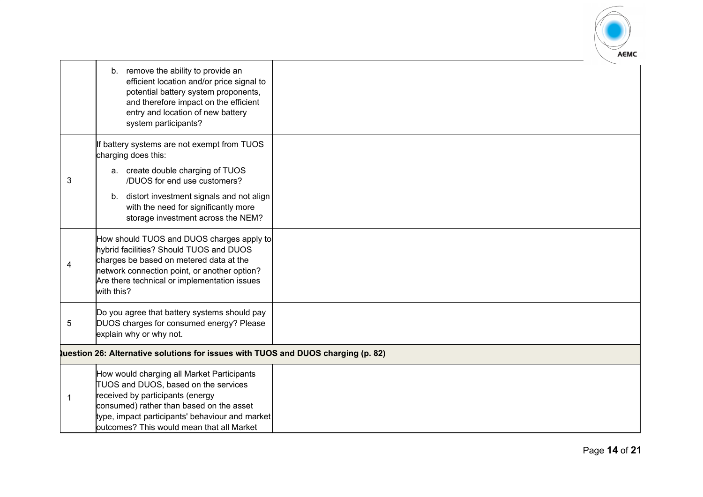

|                                                                                          | b. remove the ability to provide an<br>efficient location and/or price signal to<br>potential battery system proponents,<br>and therefore impact on the efficient<br>entry and location of new battery<br>system participants?                                     |  |
|------------------------------------------------------------------------------------------|--------------------------------------------------------------------------------------------------------------------------------------------------------------------------------------------------------------------------------------------------------------------|--|
|                                                                                          | If battery systems are not exempt from TUOS<br>charging does this:<br>a. create double charging of TUOS                                                                                                                                                            |  |
| 3                                                                                        | /DUOS for end use customers?<br>b. distort investment signals and not align<br>with the need for significantly more<br>storage investment across the NEM?                                                                                                          |  |
| 4                                                                                        | How should TUOS and DUOS charges apply to<br>hybrid facilities? Should TUOS and DUOS<br>charges be based on metered data at the<br>network connection point, or another option?<br>Are there technical or implementation issues<br>with this?                      |  |
| 5                                                                                        | Do you agree that battery systems should pay<br>DUOS charges for consumed energy? Please<br>explain why or why not.                                                                                                                                                |  |
| <b>Question 26: Alternative solutions for issues with TUOS and DUOS charging (p. 82)</b> |                                                                                                                                                                                                                                                                    |  |
| -1                                                                                       | How would charging all Market Participants<br>TUOS and DUOS, based on the services<br>received by participants (energy<br>consumed) rather than based on the asset<br>type, impact participants' behaviour and market<br>outcomes? This would mean that all Market |  |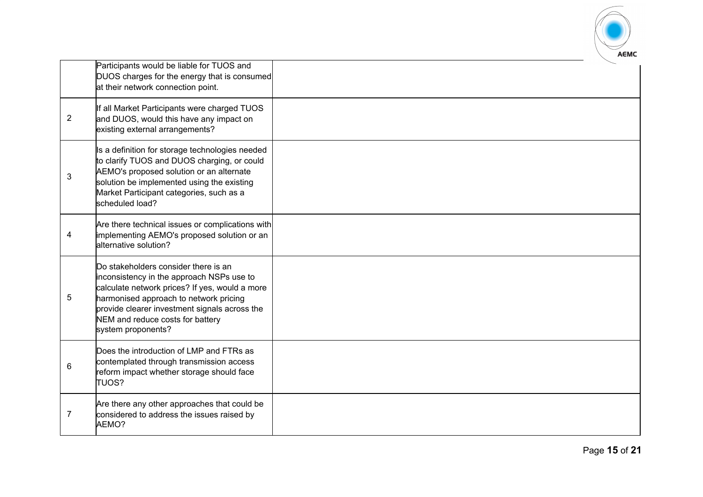

|                | Participants would be liable for TUOS and<br>DUOS charges for the energy that is consumed<br>at their network connection point.                                                                                                                                                          |  |
|----------------|------------------------------------------------------------------------------------------------------------------------------------------------------------------------------------------------------------------------------------------------------------------------------------------|--|
| 2              | If all Market Participants were charged TUOS<br>and DUOS, would this have any impact on<br>existing external arrangements?                                                                                                                                                               |  |
| 3              | Is a definition for storage technologies needed<br>to clarify TUOS and DUOS charging, or could<br>AEMO's proposed solution or an alternate<br>solution be implemented using the existing<br>Market Participant categories, such as a<br>scheduled load?                                  |  |
| 4              | Are there technical issues or complications with<br>implementing AEMO's proposed solution or an<br>alternative solution?                                                                                                                                                                 |  |
| 5              | Do stakeholders consider there is an<br>inconsistency in the approach NSPs use to<br>calculate network prices? If yes, would a more<br>harmonised approach to network pricing<br>provide clearer investment signals across the<br>NEM and reduce costs for battery<br>system proponents? |  |
| 6              | Does the introduction of LMP and FTRs as<br>contemplated through transmission access<br>reform impact whether storage should face<br><b>TUOS?</b>                                                                                                                                        |  |
| $\overline{7}$ | Are there any other approaches that could be<br>considered to address the issues raised by<br>AEMO?                                                                                                                                                                                      |  |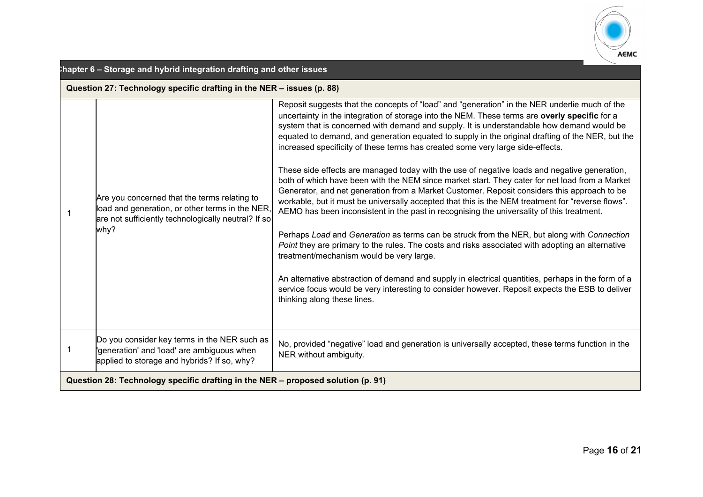

| hapter 6 - Storage and hybrid integration drafting and other issues<br>Question 27: Technology specific drafting in the NER - issues (p. 88) |                                                                                                                                                                |                                                                                                                                                                                                                                                                                                                                                                                                                                                                                                                                                                                                                                                                                                                                                                                                                                                                                                                                                                                                                                                                                                                                                                                                                                                                                                                                                                                                                                                                            |
|----------------------------------------------------------------------------------------------------------------------------------------------|----------------------------------------------------------------------------------------------------------------------------------------------------------------|----------------------------------------------------------------------------------------------------------------------------------------------------------------------------------------------------------------------------------------------------------------------------------------------------------------------------------------------------------------------------------------------------------------------------------------------------------------------------------------------------------------------------------------------------------------------------------------------------------------------------------------------------------------------------------------------------------------------------------------------------------------------------------------------------------------------------------------------------------------------------------------------------------------------------------------------------------------------------------------------------------------------------------------------------------------------------------------------------------------------------------------------------------------------------------------------------------------------------------------------------------------------------------------------------------------------------------------------------------------------------------------------------------------------------------------------------------------------------|
|                                                                                                                                              | Are you concerned that the terms relating to<br>load and generation, or other terms in the NER,<br>are not sufficiently technologically neutral? If so<br>why? | Reposit suggests that the concepts of "load" and "generation" in the NER underlie much of the<br>uncertainty in the integration of storage into the NEM. These terms are overly specific for a<br>system that is concerned with demand and supply. It is understandable how demand would be<br>equated to demand, and generation equated to supply in the original drafting of the NER, but the<br>increased specificity of these terms has created some very large side-effects.<br>These side effects are managed today with the use of negative loads and negative generation,<br>both of which have been with the NEM since market start. They cater for net load from a Market<br>Generator, and net generation from a Market Customer. Reposit considers this approach to be<br>workable, but it must be universally accepted that this is the NEM treatment for "reverse flows".<br>AEMO has been inconsistent in the past in recognising the universality of this treatment.<br>Perhaps Load and Generation as terms can be struck from the NER, but along with Connection<br>Point they are primary to the rules. The costs and risks associated with adopting an alternative<br>treatment/mechanism would be very large.<br>An alternative abstraction of demand and supply in electrical quantities, perhaps in the form of a<br>service focus would be very interesting to consider however. Reposit expects the ESB to deliver<br>thinking along these lines. |
| -1                                                                                                                                           | Do you consider key terms in the NER such as<br>generation' and 'load' are ambiguous when'<br>applied to storage and hybrids? If so, why?                      | No, provided "negative" load and generation is universally accepted, these terms function in the<br>NER without ambiguity.                                                                                                                                                                                                                                                                                                                                                                                                                                                                                                                                                                                                                                                                                                                                                                                                                                                                                                                                                                                                                                                                                                                                                                                                                                                                                                                                                 |
| Question 28: Technology specific drafting in the NER - proposed solution (p. 91)                                                             |                                                                                                                                                                |                                                                                                                                                                                                                                                                                                                                                                                                                                                                                                                                                                                                                                                                                                                                                                                                                                                                                                                                                                                                                                                                                                                                                                                                                                                                                                                                                                                                                                                                            |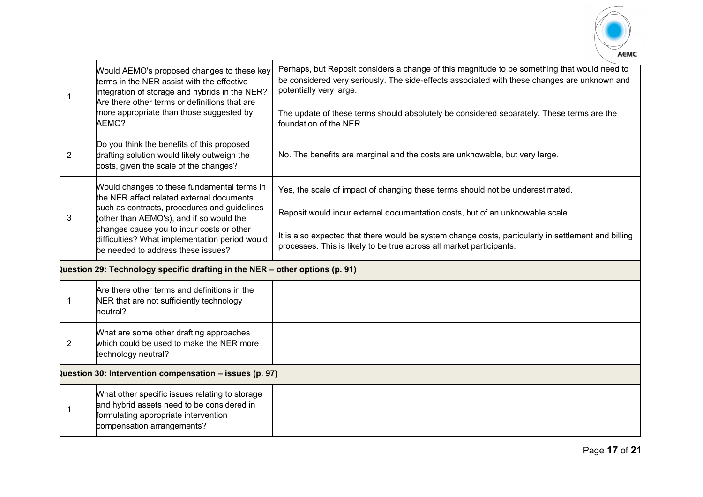

| -1             | Would AEMO's proposed changes to these key<br>terms in the NER assist with the effective<br>integration of storage and hybrids in the NER?<br>Are there other terms or definitions that are<br>more appropriate than those suggested by<br>AEMO?                                                                          | Perhaps, but Reposit considers a change of this magnitude to be something that would need to<br>be considered very seriously. The side-effects associated with these changes are unknown and<br>potentially very large.<br>The update of these terms should absolutely be considered separately. These terms are the<br>foundation of the NER. |  |
|----------------|---------------------------------------------------------------------------------------------------------------------------------------------------------------------------------------------------------------------------------------------------------------------------------------------------------------------------|------------------------------------------------------------------------------------------------------------------------------------------------------------------------------------------------------------------------------------------------------------------------------------------------------------------------------------------------|--|
| $\overline{2}$ | Do you think the benefits of this proposed<br>drafting solution would likely outweigh the<br>costs, given the scale of the changes?                                                                                                                                                                                       | No. The benefits are marginal and the costs are unknowable, but very large.                                                                                                                                                                                                                                                                    |  |
| 3              | Would changes to these fundamental terms in<br>the NER affect related external documents<br>such as contracts, procedures and guidelines<br>(other than AEMO's), and if so would the<br>changes cause you to incur costs or other<br>difficulties? What implementation period would<br>be needed to address these issues? | Yes, the scale of impact of changing these terms should not be underestimated.<br>Reposit would incur external documentation costs, but of an unknowable scale.<br>It is also expected that there would be system change costs, particularly in settlement and billing<br>processes. This is likely to be true across all market participants. |  |
|                | tuestion 29: Technology specific drafting in the NER - other options (p. 91)                                                                                                                                                                                                                                              |                                                                                                                                                                                                                                                                                                                                                |  |
| $\mathbf 1$    | Are there other terms and definitions in the<br>NER that are not sufficiently technology<br>neutral?                                                                                                                                                                                                                      |                                                                                                                                                                                                                                                                                                                                                |  |
| $\overline{2}$ | What are some other drafting approaches<br>which could be used to make the NER more<br>technology neutral?                                                                                                                                                                                                                |                                                                                                                                                                                                                                                                                                                                                |  |
|                | tuestion 30: Intervention compensation - issues (p. 97)                                                                                                                                                                                                                                                                   |                                                                                                                                                                                                                                                                                                                                                |  |
|                | What other specific issues relating to storage<br>and hybrid assets need to be considered in<br>formulating appropriate intervention<br>compensation arrangements?                                                                                                                                                        |                                                                                                                                                                                                                                                                                                                                                |  |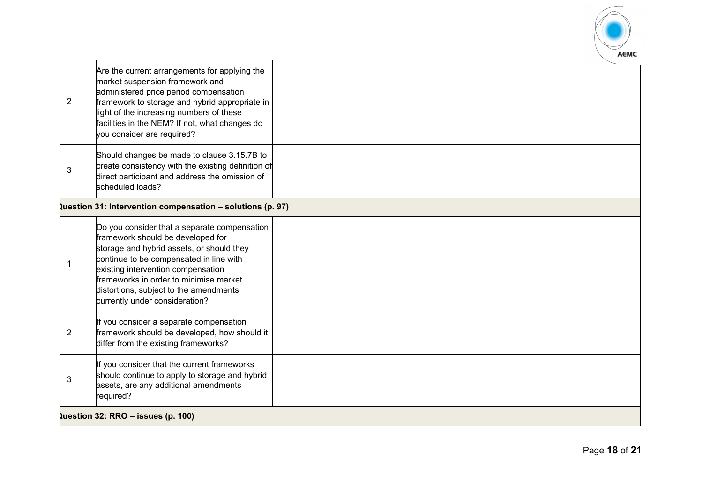

|                | Are the current arrangements for applying the<br>market suspension framework and                  |  |
|----------------|---------------------------------------------------------------------------------------------------|--|
|                | administered price period compensation                                                            |  |
| $\overline{2}$ | framework to storage and hybrid appropriate in<br>light of the increasing numbers of these        |  |
|                | facilities in the NEM? If not, what changes do<br>you consider are required?                      |  |
|                | Should changes be made to clause 3.15.7B to<br>create consistency with the existing definition of |  |
| 3              | direct participant and address the omission of                                                    |  |
|                | scheduled loads?                                                                                  |  |
|                | tuestion 31: Intervention compensation - solutions (p. 97)                                        |  |
|                | Do you consider that a separate compensation<br>framework should be developed for                 |  |
|                | storage and hybrid assets, or should they<br>continue to be compensated in line with              |  |
|                | existing intervention compensation<br>frameworks in order to minimise market                      |  |
|                | distortions, subject to the amendments                                                            |  |
|                | currently under consideration?                                                                    |  |
| $\overline{2}$ | If you consider a separate compensation<br>framework should be developed, how should it           |  |
|                | differ from the existing frameworks?                                                              |  |
|                | If you consider that the current frameworks                                                       |  |
| 3              | should continue to apply to storage and hybrid<br>assets, are any additional amendments           |  |
|                | required?                                                                                         |  |
|                | luestion 32: RRO $-$ issues (p. 100)                                                              |  |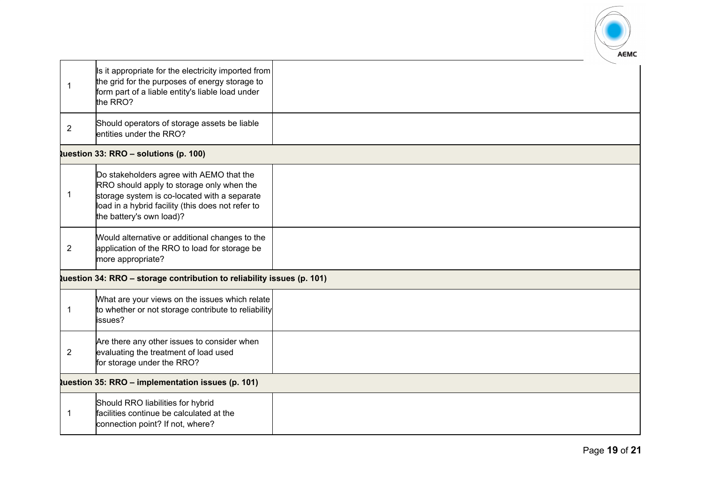

|                | Is it appropriate for the electricity imported from<br>the grid for the purposes of energy storage to<br>form part of a liable entity's liable load under<br>the RRO?<br>Should operators of storage assets be liable  |  |  |
|----------------|------------------------------------------------------------------------------------------------------------------------------------------------------------------------------------------------------------------------|--|--|
| $\overline{2}$ | entities under the RRO?                                                                                                                                                                                                |  |  |
|                | tuestion 33: RRO - solutions (p. 100)                                                                                                                                                                                  |  |  |
| 1              | Do stakeholders agree with AEMO that the<br>RRO should apply to storage only when the<br>storage system is co-located with a separate<br>load in a hybrid facility (this does not refer to<br>the battery's own load)? |  |  |
| $\overline{2}$ | Would alternative or additional changes to the<br>application of the RRO to load for storage be<br>more appropriate?                                                                                                   |  |  |
|                | tuestion 34: RRO - storage contribution to reliability issues (p. 101)                                                                                                                                                 |  |  |
| $\mathbf{1}$   | What are your views on the issues which relate<br>to whether or not storage contribute to reliability<br>issues?                                                                                                       |  |  |
| $\overline{2}$ | Are there any other issues to consider when<br>evaluating the treatment of load used<br>for storage under the RRO?                                                                                                     |  |  |
|                | tuestion 35: RRO - implementation issues (p. 101)                                                                                                                                                                      |  |  |
| -1             | Should RRO liabilities for hybrid<br>facilities continue be calculated at the<br>connection point? If not, where?                                                                                                      |  |  |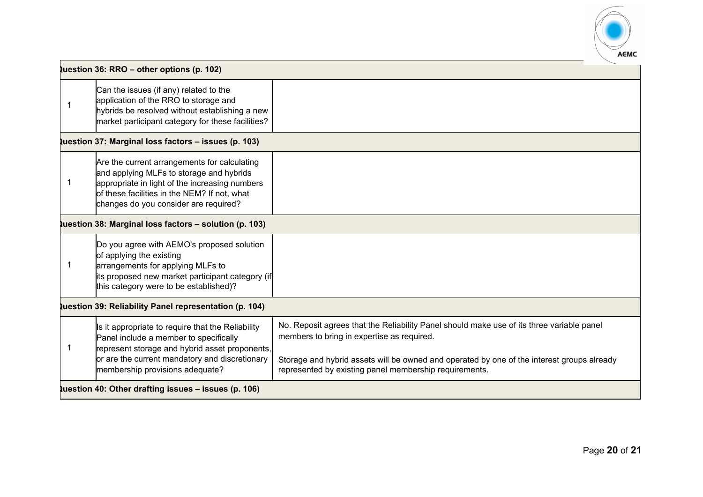

|                                                      | Question 36: RRO - other options (p. 102)                                                                                                                                                                                           |                                                                                                                                                                                                                                                                                                 |  |
|------------------------------------------------------|-------------------------------------------------------------------------------------------------------------------------------------------------------------------------------------------------------------------------------------|-------------------------------------------------------------------------------------------------------------------------------------------------------------------------------------------------------------------------------------------------------------------------------------------------|--|
|                                                      | Can the issues (if any) related to the<br>application of the RRO to storage and<br>hybrids be resolved without establishing a new<br>market participant category for these facilities?                                              |                                                                                                                                                                                                                                                                                                 |  |
|                                                      | <b>Question 37: Marginal loss factors - issues (p. 103)</b>                                                                                                                                                                         |                                                                                                                                                                                                                                                                                                 |  |
|                                                      | Are the current arrangements for calculating<br>and applying MLFs to storage and hybrids<br>appropriate in light of the increasing numbers<br>of these facilities in the NEM? If not, what<br>changes do you consider are required? |                                                                                                                                                                                                                                                                                                 |  |
|                                                      | tuestion 38: Marginal loss factors - solution (p. 103)                                                                                                                                                                              |                                                                                                                                                                                                                                                                                                 |  |
|                                                      | Do you agree with AEMO's proposed solution<br>of applying the existing<br>arrangements for applying MLFs to<br>its proposed new market participant category (if<br>this category were to be established)?                           |                                                                                                                                                                                                                                                                                                 |  |
|                                                      | tuestion 39: Reliability Panel representation (p. 104)                                                                                                                                                                              |                                                                                                                                                                                                                                                                                                 |  |
| -1                                                   | Is it appropriate to require that the Reliability<br>Panel include a member to specifically<br>represent storage and hybrid asset proponents,<br>or are the current mandatory and discretionary<br>membership provisions adequate?  | No. Reposit agrees that the Reliability Panel should make use of its three variable panel<br>members to bring in expertise as required.<br>Storage and hybrid assets will be owned and operated by one of the interest groups already<br>represented by existing panel membership requirements. |  |
| Question 40: Other drafting issues - issues (p. 106) |                                                                                                                                                                                                                                     |                                                                                                                                                                                                                                                                                                 |  |